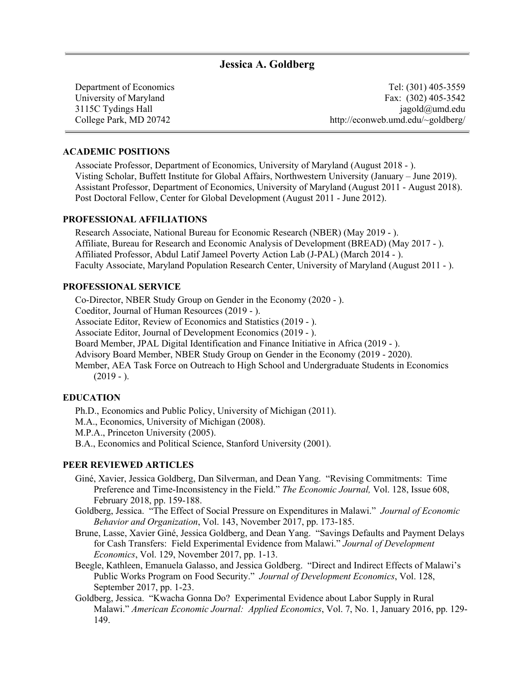# **Jessica A. Goldberg**

Department of Economics University of Maryland 3115C Tydings Hall College Park, MD 20742

Tel: (301) 405-3559 Fax: (302) 405-3542 jagold@umd.edu http://econweb.umd.edu/~goldberg/

#### **ACADEMIC POSITIONS**

Associate Professor, Department of Economics, University of Maryland (August 2018 - ). Visting Scholar, Buffett Institute for Global Affairs, Northwestern University (January – June 2019). Assistant Professor, Department of Economics, University of Maryland (August 2011 - August 2018). Post Doctoral Fellow, Center for Global Development (August 2011 - June 2012).

## **PROFESSIONAL AFFILIATIONS**

Research Associate, National Bureau for Economic Research (NBER) (May 2019 - ). Affiliate, Bureau for Research and Economic Analysis of Development (BREAD) (May 2017 - ). Affiliated Professor, Abdul Latif Jameel Poverty Action Lab (J-PAL) (March 2014 - ). Faculty Associate, Maryland Population Research Center, University of Maryland (August 2011 - ).

## **PROFESSIONAL SERVICE**

Co-Director, NBER Study Group on Gender in the Economy (2020 - ).

Coeditor, Journal of Human Resources (2019 - ).

Associate Editor, Review of Economics and Statistics (2019 - ).

Associate Editor, Journal of Development Economics (2019 - ).

Board Member, JPAL Digital Identification and Finance Initiative in Africa (2019 - ).

Advisory Board Member, NBER Study Group on Gender in the Economy (2019 - 2020).

Member, AEA Task Force on Outreach to High School and Undergraduate Students in Economics  $(2019 - ).$ 

# **EDUCATION**

Ph.D., Economics and Public Policy, University of Michigan (2011).

M.A., Economics, University of Michigan (2008).

M.P.A., Princeton University (2005).

B.A., Economics and Political Science, Stanford University (2001).

#### **PEER REVIEWED ARTICLES**

- Giné, Xavier, Jessica Goldberg, Dan Silverman, and Dean Yang. "Revising Commitments: Time Preference and Time-Inconsistency in the Field." *The Economic Journal,* Vol. 128, Issue 608, February 2018, pp. 159-188.
- Goldberg, Jessica. "The Effect of Social Pressure on Expenditures in Malawi." *Journal of Economic Behavior and Organization*, Vol. 143, November 2017, pp. 173-185.
- Brune, Lasse, Xavier Giné, Jessica Goldberg, and Dean Yang. "Savings Defaults and Payment Delays for Cash Transfers: Field Experimental Evidence from Malawi." *Journal of Development Economics*, Vol. 129, November 2017, pp. 1-13.
- Beegle, Kathleen, Emanuela Galasso, and Jessica Goldberg. "Direct and Indirect Effects of Malawi's Public Works Program on Food Security." *Journal of Development Economics*, Vol. 128, September 2017, pp. 1-23.
- Goldberg, Jessica. "Kwacha Gonna Do? Experimental Evidence about Labor Supply in Rural Malawi." *American Economic Journal: Applied Economics*, Vol. 7, No. 1, January 2016, pp. 129- 149.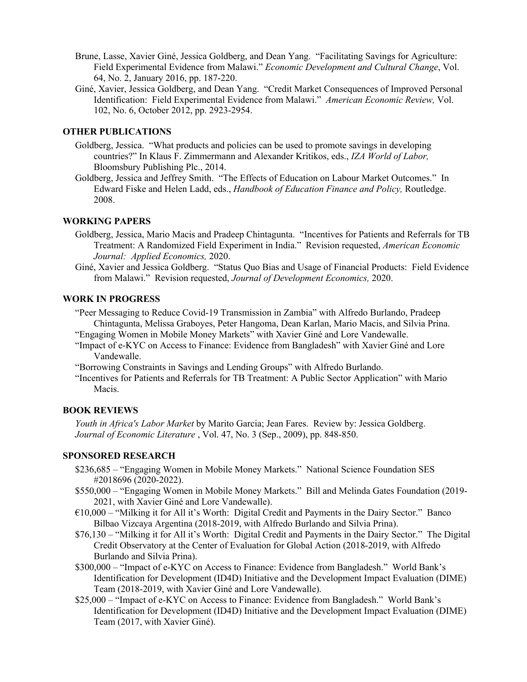- Brune, Lasse, Xavier Giné, Jessica Goldberg, and Dean Yang. "Facilitating Savings for Agriculture: Field Experimental Evidence from Malawi." *Economic Development and Cultural Change*, Vol. 64, No. 2, January 2016, pp. 187-220.
- Giné, Xavier, Jessica Goldberg, and Dean Yang. "Credit Market Consequences of Improved Personal Identification: Field Experimental Evidence from Malawi." *American Economic Review,* Vol. 102, No. 6, October 2012, pp. 2923-2954.

## **OTHER PUBLICATIONS**

- Goldberg, Jessica. "What products and policies can be used to promote savings in developing countries?" In Klaus F. Zimmermann and Alexander Kritikos, eds., *IZA World of Labor,* Bloomsbury Publishing Plc., 2014.
- Goldberg, Jessica and Jeffrey Smith. "The Effects of Education on Labour Market Outcomes." In Edward Fiske and Helen Ladd, eds., *Handbook of Education Finance and Policy,* Routledge. 2008.

#### **WORKING PAPERS**

- Goldberg, Jessica, Mario Macis and Pradeep Chintagunta. "Incentives for Patients and Referrals for TB Treatment: A Randomized Field Experiment in India." Revision requested, *American Economic Journal: Applied Economics,* 2020.
- Giné, Xavier and Jessica Goldberg. "Status Quo Bias and Usage of Financial Products: Field Evidence from Malawi." Revision requested, *Journal of Development Economics,* 2020.

# **WORK IN PROGRESS**

- "Peer Messaging to Reduce Covid-19 Transmission in Zambia" with Alfredo Burlando, Pradeep Chintagunta, Melissa Graboyes, Peter Hangoma, Dean Karlan, Mario Macis, and Silvia Prina. "Engaging Women in Mobile Money Markets" with Xavier Giné and Lore Vandewalle.
- "Impact of e-KYC on Access to Finance: Evidence from Bangladesh" with Xavier Giné and Lore Vandewalle.
- "Borrowing Constraints in Savings and Lending Groups" with Alfredo Burlando.
- "Incentives for Patients and Referrals for TB Treatment: A Public Sector Application" with Mario Macis.

#### **BOOK REVIEWS**

*Youth in Africa's Labor Market* by Marito Garcia; Jean Fares. Review by: Jessica Goldberg. *Journal of Economic Literature* , Vol. 47, No. 3 (Sep., 2009), pp. 848-850.

## **SPONSORED RESEARCH**

- \$236,685 "Engaging Women in Mobile Money Markets." National Science Foundation SES #2018696 (2020-2022).
- \$550,000 "Engaging Women in Mobile Money Markets." Bill and Melinda Gates Foundation (2019- 2021, with Xavier Giné and Lore Vandewalle).
- $€10,000 "Milking it for All it's Worth: Digital Credit and Payments in the Dairy Sector." Banco$ Bilbao Vizcaya Argentina (2018-2019, with Alfredo Burlando and Silvia Prina).
- \$76,130 "Milking it for All it's Worth: Digital Credit and Payments in the Dairy Sector." The Digital Credit Observatory at the Center of Evaluation for Global Action (2018-2019, with Alfredo Burlando and Silvia Prina).
- \$300,000 "Impact of e-KYC on Access to Finance: Evidence from Bangladesh." World Bank's Identification for Development (ID4D) Initiative and the Development Impact Evaluation (DIME) Team (2018-2019, with Xavier Giné and Lore Vandewalle).
- \$25,000 "Impact of e-KYC on Access to Finance: Evidence from Bangladesh." World Bank's Identification for Development (ID4D) Initiative and the Development Impact Evaluation (DIME) Team (2017, with Xavier Giné).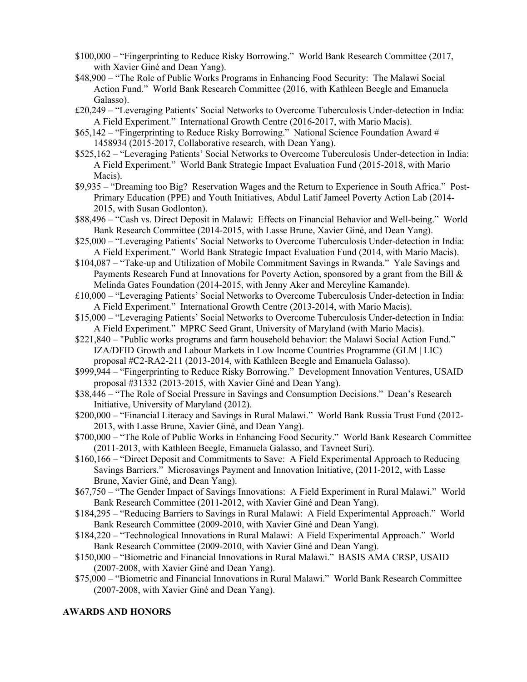- \$100,000 "Fingerprinting to Reduce Risky Borrowing." World Bank Research Committee (2017, with Xavier Giné and Dean Yang).
- \$48,900 "The Role of Public Works Programs in Enhancing Food Security: The Malawi Social Action Fund." World Bank Research Committee (2016, with Kathleen Beegle and Emanuela Galasso).
- £20,249 "Leveraging Patients' Social Networks to Overcome Tuberculosis Under-detection in India: A Field Experiment." International Growth Centre (2016-2017, with Mario Macis).
- \$65,142 "Fingerprinting to Reduce Risky Borrowing." National Science Foundation Award # 1458934 (2015-2017, Collaborative research, with Dean Yang).
- \$525,162 "Leveraging Patients' Social Networks to Overcome Tuberculosis Under-detection in India: A Field Experiment." World Bank Strategic Impact Evaluation Fund (2015-2018, with Mario Macis).
- \$9,935 "Dreaming too Big? Reservation Wages and the Return to Experience in South Africa." Post-Primary Education (PPE) and Youth Initiatives, Abdul Latif Jameel Poverty Action Lab (2014- 2015, with Susan Godlonton).
- \$88,496 "Cash vs. Direct Deposit in Malawi: Effects on Financial Behavior and Well-being." World Bank Research Committee (2014-2015, with Lasse Brune, Xavier Giné, and Dean Yang).
- \$25,000 "Leveraging Patients' Social Networks to Overcome Tuberculosis Under-detection in India: A Field Experiment." World Bank Strategic Impact Evaluation Fund (2014, with Mario Macis).
- \$104,087 "Take-up and Utilization of Mobile Commitment Savings in Rwanda." Yale Savings and Payments Research Fund at Innovations for Poverty Action, sponsored by a grant from the Bill & Melinda Gates Foundation (2014-2015, with Jenny Aker and Mercyline Kamande).
- £10,000 "Leveraging Patients' Social Networks to Overcome Tuberculosis Under-detection in India: A Field Experiment." International Growth Centre (2013-2014, with Mario Macis).
- \$15,000 "Leveraging Patients' Social Networks to Overcome Tuberculosis Under-detection in India: A Field Experiment." MPRC Seed Grant, University of Maryland (with Mario Macis).
- \$221,840 "Public works programs and farm household behavior: the Malawi Social Action Fund." IZA/DFID Growth and Labour Markets in Low Income Countries Programme (GLM | LIC) proposal #C2-RA2-211 (2013-2014, with Kathleen Beegle and Emanuela Galasso).
- \$999,944 "Fingerprinting to Reduce Risky Borrowing." Development Innovation Ventures, USAID proposal #31332 (2013-2015, with Xavier Giné and Dean Yang).
- \$38,446 "The Role of Social Pressure in Savings and Consumption Decisions." Dean's Research Initiative, University of Maryland (2012).
- \$200,000 "Financial Literacy and Savings in Rural Malawi." World Bank Russia Trust Fund (2012- 2013, with Lasse Brune, Xavier Giné, and Dean Yang).
- \$700,000 "The Role of Public Works in Enhancing Food Security." World Bank Research Committee (2011-2013, with Kathleen Beegle, Emanuela Galasso, and Tavneet Suri).
- \$160,166 "Direct Deposit and Commitments to Save: A Field Experimental Approach to Reducing Savings Barriers." Microsavings Payment and Innovation Initiative, (2011-2012, with Lasse Brune, Xavier Giné, and Dean Yang).
- \$67,750 "The Gender Impact of Savings Innovations: A Field Experiment in Rural Malawi." World Bank Research Committee (2011-2012, with Xavier Giné and Dean Yang).
- \$184,295 "Reducing Barriers to Savings in Rural Malawi: A Field Experimental Approach." World Bank Research Committee (2009-2010, with Xavier Giné and Dean Yang).
- \$184,220 "Technological Innovations in Rural Malawi: A Field Experimental Approach." World Bank Research Committee (2009-2010, with Xavier Giné and Dean Yang).
- \$150,000 "Biometric and Financial Innovations in Rural Malawi." BASIS AMA CRSP, USAID (2007-2008, with Xavier Giné and Dean Yang).
- \$75,000 "Biometric and Financial Innovations in Rural Malawi." World Bank Research Committee (2007-2008, with Xavier Giné and Dean Yang).

### **AWARDS AND HONORS**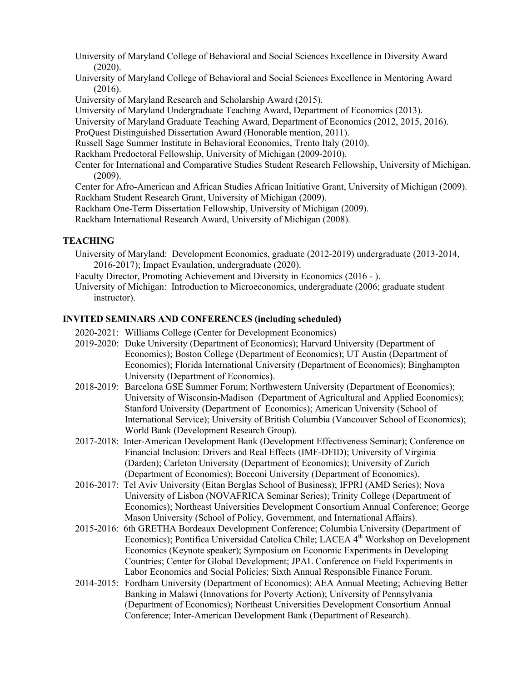University of Maryland College of Behavioral and Social Sciences Excellence in Diversity Award (2020).

- University of Maryland College of Behavioral and Social Sciences Excellence in Mentoring Award (2016).
- University of Maryland Research and Scholarship Award (2015).

University of Maryland Undergraduate Teaching Award, Department of Economics (2013).

- University of Maryland Graduate Teaching Award, Department of Economics (2012, 2015, 2016).
- ProQuest Distinguished Dissertation Award (Honorable mention, 2011).

Russell Sage Summer Institute in Behavioral Economics, Trento Italy (2010).

Rackham Predoctoral Fellowship, University of Michigan (2009-2010).

Center for International and Comparative Studies Student Research Fellowship, University of Michigan, (2009).

Center for Afro-American and African Studies African Initiative Grant, University of Michigan (2009). Rackham Student Research Grant, University of Michigan (2009).

Rackham One-Term Dissertation Fellowship, University of Michigan (2009).

Rackham International Research Award, University of Michigan (2008).

# **TEACHING**

- University of Maryland: Development Economics, graduate (2012-2019) undergraduate (2013-2014, 2016-2017); Impact Evaulation, undergraduate (2020).
- Faculty Director, Promoting Achievement and Diversity in Economics (2016 ).
- University of Michigan: Introduction to Microeconomics, undergraduate (2006; graduate student instructor).

# **INVITED SEMINARS AND CONFERENCES (including scheduled)**

- 2020-2021: Williams College (Center for Development Economics)
- 2019-2020: Duke University (Department of Economics); Harvard University (Department of Economics); Boston College (Department of Economics); UT Austin (Department of Economics); Florida International University (Department of Economics); Binghampton University (Department of Economics).
- 2018-2019: Barcelona GSE Summer Forum; Northwestern University (Department of Economics); University of Wisconsin-Madison (Department of Agricultural and Applied Economics); Stanford University (Department of Economics); American University (School of International Service); University of British Columbia (Vancouver School of Economics); World Bank (Development Research Group).
- 2017-2018: Inter-American Development Bank (Development Effectiveness Seminar); Conference on Financial Inclusion: Drivers and Real Effects (IMF-DFID); University of Virginia (Darden); Carleton University (Department of Economics); University of Zurich (Department of Economics); Bocconi University (Department of Economics).
- 2016-2017: Tel Aviv University (Eitan Berglas School of Business); IFPRI (AMD Series); Nova University of Lisbon (NOVAFRICA Seminar Series); Trinity College (Department of Economics); Northeast Universities Development Consortium Annual Conference; George Mason University (School of Policy, Government, and International Affairs).
- 2015-2016: 6th GRETHA Bordeaux Development Conference; Columbia University (Department of Economics); Pontifica Universidad Catolica Chile; LACEA 4<sup>th</sup> Workshop on Development Economics (Keynote speaker); Symposium on Economic Experiments in Developing Countries; Center for Global Development; JPAL Conference on Field Experiments in Labor Economics and Social Policies; Sixth Annual Responsible Finance Forum.
- 2014-2015: Fordham University (Department of Economics); AEA Annual Meeting; Achieving Better Banking in Malawi (Innovations for Poverty Action); University of Pennsylvania (Department of Economics); Northeast Universities Development Consortium Annual Conference; Inter-American Development Bank (Department of Research).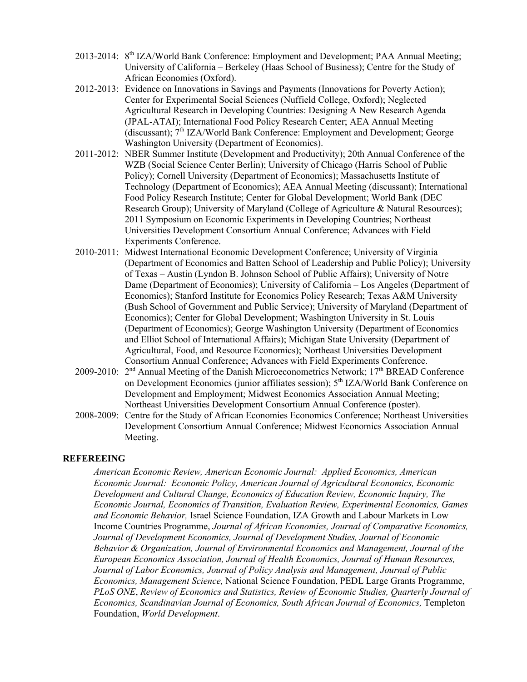- 2013-2014: 8<sup>th</sup> IZA/World Bank Conference: Employment and Development; PAA Annual Meeting; University of California – Berkeley (Haas School of Business); Centre for the Study of African Economies (Oxford).
- 2012-2013: Evidence on Innovations in Savings and Payments (Innovations for Poverty Action); Center for Experimental Social Sciences (Nuffield College, Oxford); Neglected Agricultural Research in Developing Countries: Designing A New Research Agenda (JPAL-ATAI); International Food Policy Research Center; AEA Annual Meeting (discussant); 7<sup>th</sup> IZA/World Bank Conference: Employment and Development; George Washington University (Department of Economics).
- 2011-2012: NBER Summer Institute (Development and Productivity); 20th Annual Conference of the WZB (Social Science Center Berlin); University of Chicago (Harris School of Public Policy); Cornell University (Department of Economics); Massachusetts Institute of Technology (Department of Economics); AEA Annual Meeting (discussant); International Food Policy Research Institute; Center for Global Development; World Bank (DEC Research Group); University of Maryland (College of Agriculture & Natural Resources); 2011 Symposium on Economic Experiments in Developing Countries; Northeast Universities Development Consortium Annual Conference; Advances with Field Experiments Conference.
- 2010-2011: Midwest International Economic Development Conference; University of Virginia (Department of Economics and Batten School of Leadership and Public Policy); University of Texas – Austin (Lyndon B. Johnson School of Public Affairs); University of Notre Dame (Department of Economics); University of California – Los Angeles (Department of Economics); Stanford Institute for Economics Policy Research; Texas A&M University (Bush School of Government and Public Service); University of Maryland (Department of Economics); Center for Global Development; Washington University in St. Louis (Department of Economics); George Washington University (Department of Economics and Elliot School of International Affairs); Michigan State University (Department of Agricultural, Food, and Resource Economics); Northeast Universities Development Consortium Annual Conference; Advances with Field Experiments Conference.
- 2009-2010: 2<sup>nd</sup> Annual Meeting of the Danish Microeconometrics Network; 17<sup>th</sup> BREAD Conference on Development Economics (junior affiliates session); 5<sup>th</sup> IZA/World Bank Conference on Development and Employment; Midwest Economics Association Annual Meeting; Northeast Universities Development Consortium Annual Conference (poster).
- 2008-2009: Centre for the Study of African Economies Economics Conference; Northeast Universities Development Consortium Annual Conference; Midwest Economics Association Annual Meeting.

### **REFEREEING**

*American Economic Review, American Economic Journal: Applied Economics, American Economic Journal: Economic Policy, American Journal of Agricultural Economics, Economic Development and Cultural Change, Economics of Education Review, Economic Inquiry, The Economic Journal, Economics of Transition, Evaluation Review, Experimental Economics, Games and Economic Behavior,* Israel Science Foundation, IZA Growth and Labour Markets in Low Income Countries Programme, *Journal of African Economies, Journal of Comparative Economics, Journal of Development Economics, Journal of Development Studies, Journal of Economic Behavior & Organization, Journal of Environmental Economics and Management, Journal of the European Economics Association, Journal of Health Economics, Journal of Human Resources, Journal of Labor Economics, Journal of Policy Analysis and Management, Journal of Public Economics, Management Science,* National Science Foundation, PEDL Large Grants Programme, *PLoS ONE*, *Review of Economics and Statistics, Review of Economic Studies, Quarterly Journal of Economics, Scandinavian Journal of Economics, South African Journal of Economics,* Templeton Foundation, *World Development*.